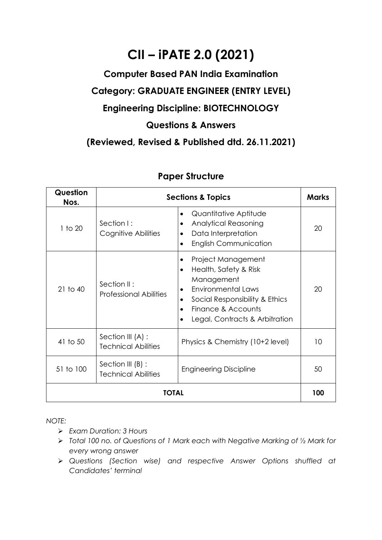# **CII – iPATE 2.0 (2021)**

### **Computer Based PAN India Examination**

# **Category: GRADUATE ENGINEER (ENTRY LEVEL)**

## **Engineering Discipline: BIOTECHNOLOGY**

#### **Questions & Answers**

#### **(Reviewed, Revised & Published dtd. 26.11.2021)**

| Question<br>Nos. |                                                 | <b>Sections &amp; Topics</b>                                                                                                                                                                                                                    | <b>Marks</b> |
|------------------|-------------------------------------------------|-------------------------------------------------------------------------------------------------------------------------------------------------------------------------------------------------------------------------------------------------|--------------|
| 1 to 20          | Section I:<br>Cognitive Abilities               | Quantitative Aptitude<br>$\bullet$<br><b>Analytical Reasoning</b><br>٠<br>Data Interpretation<br><b>English Communication</b><br>$\bullet$                                                                                                      | 20           |
| $21$ to $40$     | Section II:<br><b>Professional Abilities</b>    | Project Management<br>$\bullet$<br>Health, Safety & Risk<br>$\bullet$<br>Management<br>Environmental Laws<br>$\bullet$<br>Social Responsibility & Ethics<br>٠<br>Finance & Accounts<br>$\bullet$<br>Legal, Contracts & Arbitration<br>$\bullet$ | 20           |
| 41 to 50         | Section III (A) :<br><b>Technical Abilities</b> | Physics & Chemistry (10+2 level)                                                                                                                                                                                                                | 10           |
| 51 to 100        | Section III (B) :<br><b>Technical Abilities</b> | <b>Engineering Discipline</b>                                                                                                                                                                                                                   | 50           |
| TOTAL            |                                                 |                                                                                                                                                                                                                                                 |              |

#### **Paper Structure**

*NOTE:*

- ➢ *Exam Duration: 3 Hours*
- ➢ *Total 100 no. of Questions of 1 Mark each with Negative Marking of ½ Mark for every wrong answer*
- ➢ *Questions (Section wise) and respective Answer Options shuffled at Candidates' terminal*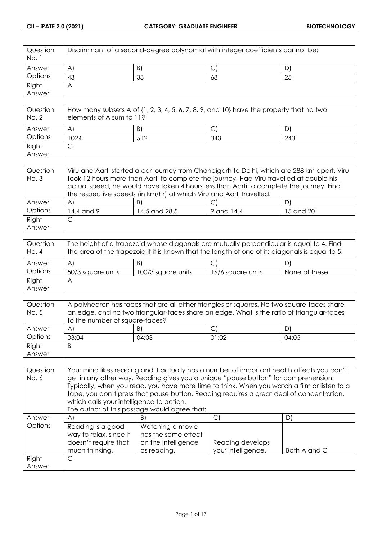| Question<br>No. 1 | Discriminant of a second-degree polynomial with integer coefficients cannot be: |    |    |    |
|-------------------|---------------------------------------------------------------------------------|----|----|----|
| Answer            | A                                                                               | B) | ◡  |    |
| Options           | 43                                                                              | 33 | 68 | 25 |
| Right             | $\overline{A}$                                                                  |    |    |    |
| Answer            |                                                                                 |    |    |    |

| Question<br>No. 2 | How many subsets A of $\{1, 2, 3, 4, 5, 6, 7, 8, 9,$ and $10\}$ have the property that no two<br>elements of A sum to 11? |     |     |     |
|-------------------|---------------------------------------------------------------------------------------------------------------------------|-----|-----|-----|
| Answer            | A                                                                                                                         | B)  |     |     |
| Options           | 1024                                                                                                                      | 512 | 343 | 243 |
| Right             |                                                                                                                           |     |     |     |
| Answer            |                                                                                                                           |     |     |     |

| Question | Viru and Aarti started a car journey from Chandigarh to Delhi, which are 288 km apart. Viru |                                                                                         |            |           |
|----------|---------------------------------------------------------------------------------------------|-----------------------------------------------------------------------------------------|------------|-----------|
| No. 3    | took 12 hours more than Aarti to complete the journey. Had Viru travelled at double his     |                                                                                         |            |           |
|          |                                                                                             | actual speed, he would have taken 4 hours less than Aarti to complete the journey. Find |            |           |
|          | the respective speeds (in km/hr) at which Viru and Aarti travelled.                         |                                                                                         |            |           |
| Answer   | $\mathsf{A}$                                                                                | B)                                                                                      |            | DI        |
| Options  | 14.4 and 9                                                                                  | 14.5 and 28.5                                                                           | 9 and 14.4 | 15 and 20 |
| Right    | С                                                                                           |                                                                                         |            |           |
| Answer   |                                                                                             |                                                                                         |            |           |

| Question<br>No. 4 | The height of a trapezoid whose diagonals are mutually perpendicular is equal to 4. Find<br>the area of the trapezoid if it is known that the length of one of its diagonals is equal to 5. |                    |                   |               |
|-------------------|---------------------------------------------------------------------------------------------------------------------------------------------------------------------------------------------|--------------------|-------------------|---------------|
| Answer            | A                                                                                                                                                                                           | B)                 | ◡                 | D)            |
| Options           | 50/3 square units                                                                                                                                                                           | 100/3 square units | 16/6 square units | None of these |
| Right             | А                                                                                                                                                                                           |                    |                   |               |
| Answer            |                                                                                                                                                                                             |                    |                   |               |

| Question | A polyhedron has faces that are all either triangles or squares. No two square-faces share |       |       |       |
|----------|--------------------------------------------------------------------------------------------|-------|-------|-------|
| No. 5    | an edge, and no two triangular-faces share an edge. What is the ratio of triangular-faces  |       |       |       |
|          | to the number of square-faces?                                                             |       |       |       |
| Answer   | $\mathsf{A}$                                                                               | B)    | ◡     | D)    |
| Options  | 03:04                                                                                      | 04:03 | 01:02 | 04:05 |
| Right    | B                                                                                          |       |       |       |
| Answer   |                                                                                            |       |       |       |

| Question | Your mind likes reading and it actually has a number of important health affects you can't |                                                                                             |                    |              |
|----------|--------------------------------------------------------------------------------------------|---------------------------------------------------------------------------------------------|--------------------|--------------|
| No. 6    |                                                                                            | get in any other way. Reading gives you a unique "pause button" for comprehension.          |                    |              |
|          |                                                                                            | Typically, when you read, you have more time to think. When you watch a film or listen to a |                    |              |
|          |                                                                                            | tape, you don't press that pause button. Reading requires a great deal of concentration,    |                    |              |
|          | which calls your intelligence to action.                                                   |                                                                                             |                    |              |
|          |                                                                                            | The author of this passage would agree that:                                                |                    |              |
| Answer   | $\mathsf{A}$                                                                               | B)                                                                                          | O)                 | D)           |
| Options  | Reading is a good                                                                          | Watching a movie                                                                            |                    |              |
|          | way to relax, since it                                                                     | has the same effect                                                                         |                    |              |
|          | doesn't require that                                                                       | on the intelligence                                                                         | Reading develops   |              |
|          | much thinking.                                                                             | as reading.                                                                                 | your intelligence. | Both A and C |
| Right    | C                                                                                          |                                                                                             |                    |              |
| Answer   |                                                                                            |                                                                                             |                    |              |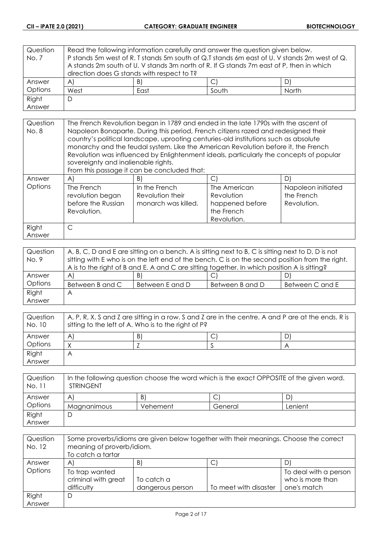| Question       | Read the following information carefully and answer the question given below. |    |                                                                                             |    |  |
|----------------|-------------------------------------------------------------------------------|----|---------------------------------------------------------------------------------------------|----|--|
| No. 7          |                                                                               |    | P stands 5m west of R. T stands 5m south of Q.T stands 6m east of U. V stands 2m west of Q. |    |  |
|                |                                                                               |    | A stands 2m south of U. V stands 3m north of R. If G stands 7m east of P, then in which     |    |  |
|                | direction does G stands with respect to T?                                    |    |                                                                                             |    |  |
| Answer         | A                                                                             | B) |                                                                                             | D) |  |
| <b>Options</b> | South<br>West<br>North<br>East                                                |    |                                                                                             |    |  |
| Right          | D                                                                             |    |                                                                                             |    |  |
| Answer         |                                                                               |    |                                                                                             |    |  |

| Question<br>No. 8 | The French Revolution began in 1789 and ended in the late 1790s with the ascent of<br>Napoleon Bonaparte. During this period, French citizens razed and redesigned their<br>country's political landscape, uprooting centuries-old institutions such as absolute<br>monarchy and the feudal system. Like the American Revolution before it, the French<br>Revolution was influenced by Enlightenment ideals, particularly the concepts of popular |                                                          |                                                                            |                                                 |
|-------------------|---------------------------------------------------------------------------------------------------------------------------------------------------------------------------------------------------------------------------------------------------------------------------------------------------------------------------------------------------------------------------------------------------------------------------------------------------|----------------------------------------------------------|----------------------------------------------------------------------------|-------------------------------------------------|
|                   | sovereignty and inalienable rights.<br>From this passage it can be concluded that:                                                                                                                                                                                                                                                                                                                                                                |                                                          |                                                                            |                                                 |
| Answer            | $\mathsf{A}$                                                                                                                                                                                                                                                                                                                                                                                                                                      | B)                                                       | $\mathsf{C}$                                                               | D)                                              |
| Options           | The French<br>revolution began<br>before the Russian<br>Revolution.                                                                                                                                                                                                                                                                                                                                                                               | In the French<br>Revolution their<br>monarch was killed. | The American<br>Revolution<br>happened before<br>the French<br>Revolution. | Napoleon initiated<br>the French<br>Revolution. |
| Right             | $\subset$                                                                                                                                                                                                                                                                                                                                                                                                                                         |                                                          |                                                                            |                                                 |
| Answer            |                                                                                                                                                                                                                                                                                                                                                                                                                                                   |                                                          |                                                                            |                                                 |

| Question | A, B, C, D and E are sitting on a bench. A is sitting next to B, C is sitting next to D, D is not |                 |                 |                 |
|----------|---------------------------------------------------------------------------------------------------|-----------------|-----------------|-----------------|
| No. 9    | sitting with E who is on the left end of the bench. C is on the second position from the right.   |                 |                 |                 |
|          | A is to the right of B and E. A and C are sitting together. In which position A is sitting?       |                 |                 |                 |
| Answer   | $\forall$                                                                                         | B)              | ◡               | D)              |
| Options  | Between B and C                                                                                   | Between E and D | Between B and D | Between C and E |
| Right    | A                                                                                                 |                 |                 |                 |
| Answer   |                                                                                                   |                 |                 |                 |

| Question<br>No. 10 | A, P, R, X, S and Z are sitting in a row. S and Z are in the centre. A and P are at the ends. R is<br>sitting to the left of A. Who is to the right of P? |    |  |   |
|--------------------|-----------------------------------------------------------------------------------------------------------------------------------------------------------|----|--|---|
| Answer             | A                                                                                                                                                         | B) |  | D |
| Options            |                                                                                                                                                           |    |  |   |
| Right              | Α                                                                                                                                                         |    |  |   |
| Answer             |                                                                                                                                                           |    |  |   |

| Question<br>No. 11 | In the following question choose the word which is the exact OPPOSITE of the given word.<br><b>STRINGENT</b> |          |         |         |
|--------------------|--------------------------------------------------------------------------------------------------------------|----------|---------|---------|
| Answer             | A                                                                                                            | B)       |         |         |
| Options            | Magnanimous                                                                                                  | Vehement | General | Lenient |
| Right              |                                                                                                              |          |         |         |
| Answer             |                                                                                                              |          |         |         |

| Question<br>No. 12 | Some proverbs/idioms are given below together with their meanings. Choose the correct<br>meaning of proverb/idiom.<br>To catch a tartar |                                |                       |                                                          |
|--------------------|-----------------------------------------------------------------------------------------------------------------------------------------|--------------------------------|-----------------------|----------------------------------------------------------|
| Answer             | A                                                                                                                                       | B)                             | ◡                     |                                                          |
| Options            | To trap wanted<br>criminal with great<br>difficulty                                                                                     | To catch a<br>dangerous person | To meet with disaster | To deal with a person<br>who is more than<br>one's match |
| Right              | D                                                                                                                                       |                                |                       |                                                          |
| Answer             |                                                                                                                                         |                                |                       |                                                          |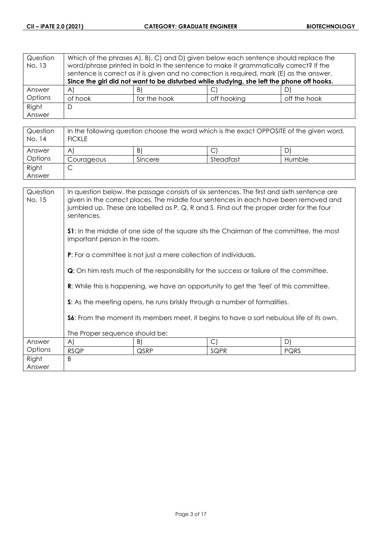| Question<br>No. 13 | Which of the phrases A), B), C) and D) given below each sentence should replace the<br>word/phrase printed in bold in the sentence to make it grammatically correct? If the<br>sentence is correct as it is given and no correction is required, mark (E) as the answer.<br>Since the girl did not want to be disturbed while studying, she left the phone off hooks. |              |             |              |  |
|--------------------|-----------------------------------------------------------------------------------------------------------------------------------------------------------------------------------------------------------------------------------------------------------------------------------------------------------------------------------------------------------------------|--------------|-------------|--------------|--|
| Answer             | $\forall$                                                                                                                                                                                                                                                                                                                                                             | B)           |             | D.           |  |
| Options            | of hook                                                                                                                                                                                                                                                                                                                                                               | for the hook | off hooking | off the hook |  |
| Right              | D                                                                                                                                                                                                                                                                                                                                                                     |              |             |              |  |
| Answer             |                                                                                                                                                                                                                                                                                                                                                                       |              |             |              |  |
|                    |                                                                                                                                                                                                                                                                                                                                                                       |              |             |              |  |

| Question<br>No. 14 | In the following question choose the word which is the exact OPPOSITE of the given word.<br><b>FICKLE</b> |         |           |        |
|--------------------|-----------------------------------------------------------------------------------------------------------|---------|-----------|--------|
| Answer             | A                                                                                                         | B)      |           | D      |
| Options            | Courageous                                                                                                | Sincere | Steadfast | Humble |
| Right              | ◡                                                                                                         |         |           |        |
| Answer             |                                                                                                           |         |           |        |

| Question<br>No. 15 | In question below, the passage consists of six sentences. The first and sixth sentence are<br>given in the correct places. The middle four sentences in each have been removed and<br>jumbled up. These are labelled as P, Q, R and S. Find out the proper order for the four<br>sentences.<br><b>S1:</b> In the middle of one side of the square sits the Chairman of the committee, the most<br>important person in the room.<br><b>P:</b> For a committee is not just a mere collection of individuals. |      |            |             |
|--------------------|------------------------------------------------------------------------------------------------------------------------------------------------------------------------------------------------------------------------------------------------------------------------------------------------------------------------------------------------------------------------------------------------------------------------------------------------------------------------------------------------------------|------|------------|-------------|
|                    | <b>Q</b> : On him rests much of the responsibility for the success or failure of the committee.<br><b>R:</b> While this is happening, we have an opportunity to get the 'feel' of this committee.<br>S: As the meeting opens, he runs briskly through a number of formalities.<br>S6: From the moment its members meet, it begins to have a sort nebulous life of its own.                                                                                                                                 |      |            |             |
| Answer             | The Proper sequence should be:<br>A)                                                                                                                                                                                                                                                                                                                                                                                                                                                                       | B)   | $\bigcirc$ | D)          |
| Options            | <b>RSQP</b>                                                                                                                                                                                                                                                                                                                                                                                                                                                                                                | QSRP | SQPR       | <b>PQRS</b> |
| Right<br>Answer    | B                                                                                                                                                                                                                                                                                                                                                                                                                                                                                                          |      |            |             |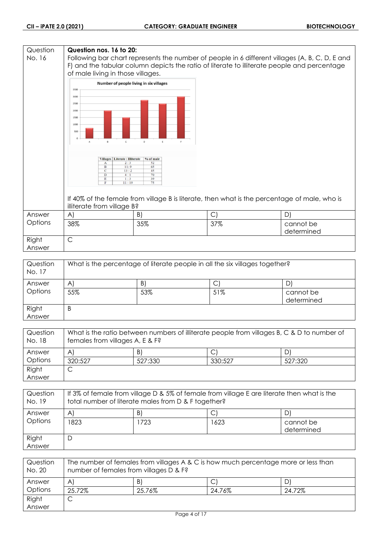#### **Question Question nos. 16 to 20:** No. 16 Following bar chart represents the number of people in 6 different villages (A, B, C, D, E and F) and the tabular column depicts the ratio of literate to illiterate people and percentage of male living in those villages. Number of people living in six villages 3500 3000 2500 2000 1500  $1000$ 50 Villages | Literate : Illiterate | % of male Ï  $\frac{1}{13}$  $\overline{11}$ If 40% of the female from village B is literate, then what is the percentage of male, who is illiterate from village B? Answer A)  $|B|$   $|C|$   $|D|$ **Options** 38% 35% 37% cannot be determined Right C Answer

| Question<br>No. 17 | What is the percentage of literate people in all the six villages together? |     |     |                         |
|--------------------|-----------------------------------------------------------------------------|-----|-----|-------------------------|
| Answer             | A                                                                           | B)  |     |                         |
| Options            | 55%                                                                         | 53% | 51% | cannot be<br>determined |
| Right<br>Answer    | B                                                                           |     |     |                         |

| Question<br>No. 18 | What is the ratio between numbers of illiterate people from villages B, C & D to number of<br>females from villages A, E & F? |         |         |         |
|--------------------|-------------------------------------------------------------------------------------------------------------------------------|---------|---------|---------|
| Answer             | A                                                                                                                             | B)      |         | D)      |
| Options            | 320:527                                                                                                                       | 527:330 | 330:527 | 527:320 |
| Right              |                                                                                                                               |         |         |         |
| Answer             |                                                                                                                               |         |         |         |

| Question<br>No. 19 | If 3% of female from village D & 5% of female from village E are literate then what is the<br>total number of literate males from D & F together? |     |      |                         |
|--------------------|---------------------------------------------------------------------------------------------------------------------------------------------------|-----|------|-------------------------|
| Answer             | A                                                                                                                                                 | B)  |      | D,                      |
| Options            | 1823                                                                                                                                              | 723 | 1623 | cannot be<br>determined |
| Right<br>Answer    | D                                                                                                                                                 |     |      |                         |

| Question<br>No. 20 | The number of females from villages A & C is how much percentage more or less than<br>number of females from villages D & F? |        |        |        |
|--------------------|------------------------------------------------------------------------------------------------------------------------------|--------|--------|--------|
| Answer             | $\mathsf{A}$                                                                                                                 | B)     |        |        |
| Options            | 25.72%                                                                                                                       | 25.76% | 24.76% | 24.72% |
| Right              | ٮ                                                                                                                            |        |        |        |
| Answer             |                                                                                                                              |        |        |        |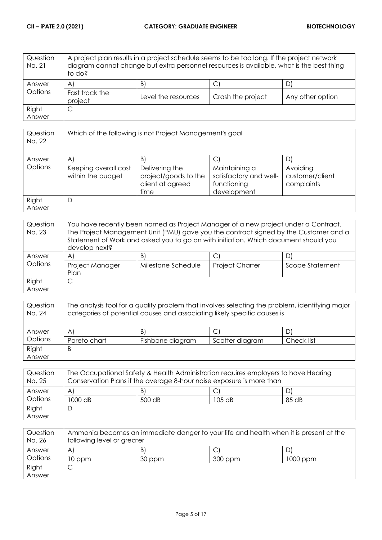| Question<br>No. 21 | A project plan results in a project schedule seems to be too long. If the project network<br>diagram cannot change but extra personnel resources is available, what is the best thing<br>to do? |                     |                           |                  |
|--------------------|-------------------------------------------------------------------------------------------------------------------------------------------------------------------------------------------------|---------------------|---------------------------|------------------|
| Answer             | $\mathsf{A}$                                                                                                                                                                                    | $\vert B \vert$     | $\mathsf{C}^{\mathsf{r}}$ |                  |
| Options            | Fast track the<br>project                                                                                                                                                                       | Level the resources | Crash the project         | Any other option |
| Right              | С                                                                                                                                                                                               |                     |                           |                  |
| Answer             |                                                                                                                                                                                                 |                     |                           |                  |

| Question<br>No. 22 | Which of the following is not Project Management's goal |                                                                    |                                                                       |                                           |
|--------------------|---------------------------------------------------------|--------------------------------------------------------------------|-----------------------------------------------------------------------|-------------------------------------------|
| Answer             | A                                                       | B                                                                  | С                                                                     |                                           |
| Options            | Keeping overall cost<br>within the budget               | Delivering the<br>project/goods to the<br>client at agreed<br>time | Maintaining a<br>satisfactory and well-<br>functioning<br>development | Avoiding<br>customer/client<br>complaints |
| Right<br>Answer    | D                                                       |                                                                    |                                                                       |                                           |

| Question<br>No. 23 | You have recently been named as Project Manager of a new project under a Contract.<br>The Project Management Unit (PMU) gave you the contract signed by the Customer and a<br>Statement of Work and asked you to go on with initiation. Which document should you<br>develop next? |                    |                        |                 |
|--------------------|------------------------------------------------------------------------------------------------------------------------------------------------------------------------------------------------------------------------------------------------------------------------------------|--------------------|------------------------|-----------------|
| Answer             | A                                                                                                                                                                                                                                                                                  | B)                 |                        |                 |
| Options            | Project Manager<br>Plan                                                                                                                                                                                                                                                            | Milestone Schedule | <b>Project Charter</b> | Scope Statement |
| Right              |                                                                                                                                                                                                                                                                                    |                    |                        |                 |
| Answer             |                                                                                                                                                                                                                                                                                    |                    |                        |                 |

| Question<br>No. 24 | The analysis tool for a quality problem that involves selecting the problem, identifying major<br>categories of potential causes and associating likely specific causes is |                  |                 |            |
|--------------------|----------------------------------------------------------------------------------------------------------------------------------------------------------------------------|------------------|-----------------|------------|
| Answer             | $\mathsf{A}$                                                                                                                                                               | B)               |                 |            |
| Options            | Pareto chart                                                                                                                                                               | Fishbone diagram | Scatter diagram | Check list |
| Right              | B                                                                                                                                                                          |                  |                 |            |
| Answer             |                                                                                                                                                                            |                  |                 |            |

| Question<br>No. 25 | The Occupational Safety & Health Administration requires employers to have Hearing<br>Conservation Plans if the average 8-hour noise exposure is more than |        |        |       |
|--------------------|------------------------------------------------------------------------------------------------------------------------------------------------------------|--------|--------|-------|
| Answer             | A                                                                                                                                                          | B)     |        |       |
| Options            | 1000 dB                                                                                                                                                    | 500 dB | 105 dB | 85 dB |
| Right              |                                                                                                                                                            |        |        |       |
| Answer             |                                                                                                                                                            |        |        |       |

| Question<br>No. 26 | Ammonia becomes an immediate danger to your life and health when it is present at the<br>following level or greater |        |         |          |
|--------------------|---------------------------------------------------------------------------------------------------------------------|--------|---------|----------|
| Answer             | A                                                                                                                   | B      |         |          |
| Options            | 10 ppm                                                                                                              | 30 ppm | 300 ppm | 1000 ppm |
| Right              |                                                                                                                     |        |         |          |
| Answer             |                                                                                                                     |        |         |          |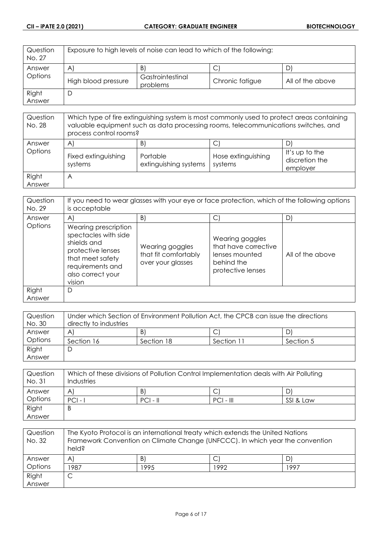| Question<br>No. 27 | Exposure to high levels of noise can lead to which of the following: |                              |                 |                  |
|--------------------|----------------------------------------------------------------------|------------------------------|-----------------|------------------|
| Answer             | $\mathsf{A}$                                                         | B                            |                 | D                |
| Options            | High blood pressure                                                  | Gastrointestinal<br>problems | Chronic fatigue | All of the above |
| Right              |                                                                      |                              |                 |                  |
| Answer             |                                                                      |                              |                 |                  |

| Question<br>No. 28 | Which type of fire extinguishing system is most commonly used to protect areas containing<br>valuable equipment such as data processing rooms, telecommunications switches, and<br>process control rooms? |                                         |                               |                                              |
|--------------------|-----------------------------------------------------------------------------------------------------------------------------------------------------------------------------------------------------------|-----------------------------------------|-------------------------------|----------------------------------------------|
| Answer<br>Options  | $\mathsf{A}$<br>Fixed extinguishing<br>systems                                                                                                                                                            | B'<br>Portable<br>extinguishing systems | Hose extinguishing<br>systems | It's up to the<br>discretion the<br>employer |
| Right<br>Answer    | A                                                                                                                                                                                                         |                                         |                               |                                              |

| Question<br>No. 29 | If you need to wear glasses with your eye or face protection, which of the following options<br>is acceptable                                           |                                                              |                                                                                              |                  |
|--------------------|---------------------------------------------------------------------------------------------------------------------------------------------------------|--------------------------------------------------------------|----------------------------------------------------------------------------------------------|------------------|
| Answer             | $\mathsf{A}^{\mathsf{c}}$                                                                                                                               | B)                                                           | С                                                                                            | D)               |
| Options            | Wearing prescription<br>spectacles with side<br>shields and<br>protective lenses<br>that meet safety<br>requirements and<br>also correct your<br>vision | Wearing goggles<br>that fit comfortably<br>over your glasses | Wearing goggles<br>that have corrective<br>lenses mounted<br>behind the<br>protective lenses | All of the above |
| Right<br>Answer    | D                                                                                                                                                       |                                                              |                                                                                              |                  |

| Question | Under which Section of Environment Pollution Act, the CPCB can issue the directions |            |            |           |
|----------|-------------------------------------------------------------------------------------|------------|------------|-----------|
| No. 30   | directly to industries                                                              |            |            |           |
| Answer   | A                                                                                   | B)         |            | DI        |
| Options  | Section 16                                                                          | Section 18 | Section 11 | Section 5 |
| Right    | C                                                                                   |            |            |           |
| Answer   |                                                                                     |            |            |           |

| Question<br>No. 31 | Which of these divisions of Pollution Control Implementation deals with Air Polluting<br>Industries |            |             |           |
|--------------------|-----------------------------------------------------------------------------------------------------|------------|-------------|-----------|
| Answer             | Α                                                                                                   | B)         | C           |           |
| Options            | $PCI - I$                                                                                           | $PCI - II$ | $PCI - III$ | SSI & Law |
| Right              | B                                                                                                   |            |             |           |
| Answer             |                                                                                                     |            |             |           |

| Question<br>No. 32 | The Kyoto Protocol is an international treaty which extends the United Nations<br>Framework Convention on Climate Change (UNFCCC). In which year the convention<br>held? |      |      |      |
|--------------------|--------------------------------------------------------------------------------------------------------------------------------------------------------------------------|------|------|------|
| Answer             | $\mathsf{A}^{\mathsf{c}}$                                                                                                                                                | B    | С    | D    |
| Options            | 1987                                                                                                                                                                     | 1995 | 1992 | 1997 |
| Right              |                                                                                                                                                                          |      |      |      |
| Answer             |                                                                                                                                                                          |      |      |      |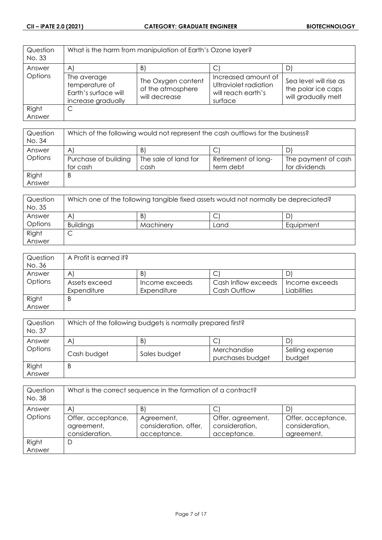| Question<br>No. 33 | What is the harm from manipulation of Earth's Ozone layer?                  |                                                          |                                                                               |                                                                     |
|--------------------|-----------------------------------------------------------------------------|----------------------------------------------------------|-------------------------------------------------------------------------------|---------------------------------------------------------------------|
| Answer             | $\mathsf{A}$                                                                | $\mathsf{B}$                                             |                                                                               | D)                                                                  |
| Options            | The average<br>temperature of<br>Earth's surface will<br>increase gradually | The Oxygen content<br>of the atmosphere<br>will decrease | Increased amount of<br>Ultraviolet radiation<br>will reach earth's<br>surface | Sea level will rise as<br>the polar ice caps<br>will gradually melt |
| Right              | C                                                                           |                                                          |                                                                               |                                                                     |
| Answer             |                                                                             |                                                          |                                                                               |                                                                     |

| Question<br>No. 34 | Which of the following would not represent the cash outflows for the business? |                      |                     |                     |
|--------------------|--------------------------------------------------------------------------------|----------------------|---------------------|---------------------|
| Answer             | $\mathsf{A}^{\prime}$                                                          | B                    | ◡                   |                     |
| Options            | Purchase of building                                                           | The sale of land for | Retirement of long- | The payment of cash |
|                    | for cash                                                                       | cash                 | term debt           | for dividends       |
| Right              | B                                                                              |                      |                     |                     |
| Answer             |                                                                                |                      |                     |                     |

| Question<br>No. 35 | Which one of the following tangible fixed assets would not normally be depreciated? |           |      |           |
|--------------------|-------------------------------------------------------------------------------------|-----------|------|-----------|
| Answer             | A                                                                                   | B         | ◡    |           |
| Options            | <b>Buildings</b>                                                                    | Machinery | Land | Equipment |
| Right              | ◡                                                                                   |           |      |           |
| Answer             |                                                                                     |           |      |           |

| Question | A Profit is earned if? |                |                     |                |
|----------|------------------------|----------------|---------------------|----------------|
| No. 36   |                        |                |                     |                |
| Answer   | A                      | B              | ◡                   |                |
| Options  | Assets exceed          | Income exceeds | Cash Inflow exceeds | Income exceeds |
|          | Expenditure            | Expenditure    | Cash Outflow        | Liabilities    |
| Right    | B                      |                |                     |                |
| Answer   |                        |                |                     |                |

| Question<br>No. 37 | Which of the following budgets is normally prepared first? |              |                                 |                           |
|--------------------|------------------------------------------------------------|--------------|---------------------------------|---------------------------|
| Answer             | $\mathsf{A}$                                               | B)           |                                 | D                         |
| Options            | Cash budget                                                | Sales budget | Merchandise<br>purchases budget | Selling expense<br>budget |
| Right<br>Answer    | B                                                          |              |                                 |                           |

| Question<br>No. 38 | What is the correct sequence in the formation of a contract? |                                                    |                                                    |                                                    |
|--------------------|--------------------------------------------------------------|----------------------------------------------------|----------------------------------------------------|----------------------------------------------------|
| Answer             | A                                                            | B'                                                 |                                                    | D                                                  |
| Options            | Offer, acceptance,<br>agreement,<br>consideration.           | Agreement,<br>consideration, offer,<br>acceptance. | Offer, agreement,<br>consideration,<br>acceptance. | Offer, acceptance,<br>consideration,<br>agreement. |
| Right              | D                                                            |                                                    |                                                    |                                                    |
| Answer             |                                                              |                                                    |                                                    |                                                    |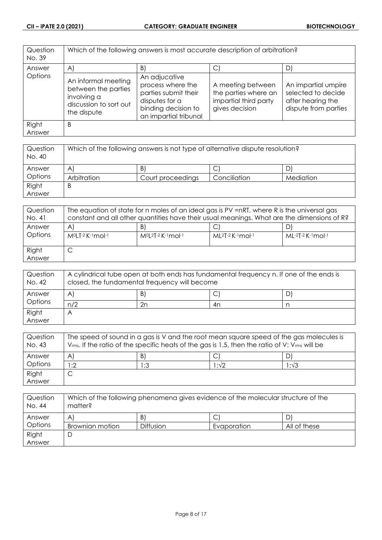| Question<br>No. 39 | Which of the following answers is most accurate description of arbitration?                        |                                                                                                                              |                                                                                      |                                                                                        |
|--------------------|----------------------------------------------------------------------------------------------------|------------------------------------------------------------------------------------------------------------------------------|--------------------------------------------------------------------------------------|----------------------------------------------------------------------------------------|
| Answer             | $\mathsf{A}$                                                                                       | $\vert B \vert$                                                                                                              | C                                                                                    | D)                                                                                     |
| Options            | An informal meeting<br>between the parties<br>involving a<br>discussion to sort out<br>the dispute | An adjucative<br>process where the<br>parties submit their<br>disputes for a<br>binding decision to<br>an impartial tribunal | A meeting between<br>the parties where an<br>impartial third party<br>gives decision | An impartial umpire<br>selected to decide<br>after hearing the<br>dispute from parties |
| Right<br>Answer    | B                                                                                                  |                                                                                                                              |                                                                                      |                                                                                        |

| Question<br>No. 40 | Which of the following answers is not type of alternative dispute resolution? |                   |              |           |
|--------------------|-------------------------------------------------------------------------------|-------------------|--------------|-----------|
| Answer             | $\mathsf{A}^{\prime}$                                                         | B)                | ◡            |           |
| Options            | Arbitration                                                                   | Court proceedings | Conciliation | Mediation |
| Right              | B                                                                             |                   |              |           |
| Answer             |                                                                               |                   |              |           |

| Question<br>No. 41 | The equation of state for n moles of an ideal gas is PV =nRT, where R is the universal gas<br>constant and all other quantities have their usual meanings. What are the dimensions of R? |                                  |                             |                     |
|--------------------|------------------------------------------------------------------------------------------------------------------------------------------------------------------------------------------|----------------------------------|-----------------------------|---------------------|
| Answer<br>Options  | A<br>M <sup>o</sup> LT-2 K-1 mol-1                                                                                                                                                       | B<br>$M^{0}[2T-2K^{-1}mol^{-1}]$ | $ML^{2}T-2$ K $-1$ mol $-1$ | $ML-2T-2$ K-1 mol-1 |
| Right<br>Answer    | ◡                                                                                                                                                                                        |                                  |                             |                     |

| Question<br>No. 42 | A cylindrical tube open at both ends has fundamental frequency n. If one of the ends is<br>closed, the fundamental frequency will become |    |               |    |
|--------------------|------------------------------------------------------------------------------------------------------------------------------------------|----|---------------|----|
| Answer             | A                                                                                                                                        | B) | $\mathcal{L}$ | D' |
| Options            | n/2                                                                                                                                      | 2n | 4n            |    |
| Right              |                                                                                                                                          |    |               |    |
| Answer             |                                                                                                                                          |    |               |    |

| Question<br>No. 43 | The speed of sound in a gas is V and the root mean square speed of the gas molecules is<br>$V_{rms}$ . If the ratio of the specific heats of the gas is 1.5, then the ratio of V: $V_{rms}$ will be |     |      |               |
|--------------------|-----------------------------------------------------------------------------------------------------------------------------------------------------------------------------------------------------|-----|------|---------------|
| Answer             | A                                                                                                                                                                                                   | B   |      |               |
| Options            | :2                                                                                                                                                                                                  | 1:3 | 1:√2 | $1:1\sqrt{3}$ |
| Right              |                                                                                                                                                                                                     |     |      |               |
| Answer             |                                                                                                                                                                                                     |     |      |               |

| Question<br>No. 44 | Which of the following phenomena gives evidence of the molecular structure of the<br>matter? |                  |             |              |
|--------------------|----------------------------------------------------------------------------------------------|------------------|-------------|--------------|
| Answer             | A                                                                                            | B)               |             |              |
| Options            | Brownian motion                                                                              | <b>Diffusion</b> | Evaporation | All of these |
| Right              |                                                                                              |                  |             |              |
| Answer             |                                                                                              |                  |             |              |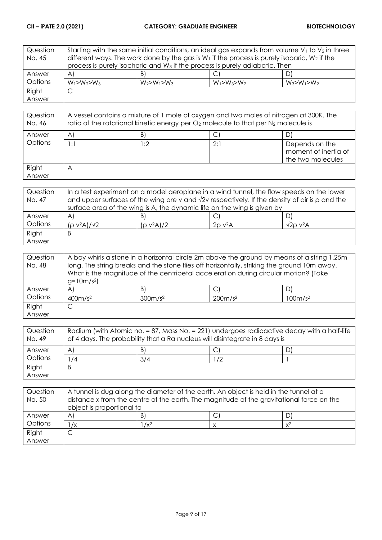| Question | Starting with the same initial conditions, an ideal gas expands from volume $V_1$ to $V_2$ in three |                                                                                         |                   |                   |
|----------|-----------------------------------------------------------------------------------------------------|-----------------------------------------------------------------------------------------|-------------------|-------------------|
| No. 45   | different ways. The work done by the gas is $W_1$ if the process is purely isobaric, $W_2$ if the   |                                                                                         |                   |                   |
|          |                                                                                                     | process is purely isochoric and W <sub>3</sub> if the process is purely adiabatic. Then |                   |                   |
| Answer   | $\forall$                                                                                           | B)                                                                                      |                   | D)                |
| Options  | $W_1 > W_2 > W_3$                                                                                   | $W_2 > W_1 > W_3$                                                                       | $W_1 > W_3 > W_2$ | $W_3 > W_1 > W_2$ |
| Right    | С                                                                                                   |                                                                                         |                   |                   |
| Answer   |                                                                                                     |                                                                                         |                   |                   |

| Question<br>No. 46 | A vessel contains a mixture of 1 mole of oxygen and two moles of nitrogen at 300K. The<br>ratio of the rotational kinetic energy per $O_2$ molecule to that per $N_2$ molecule is |     |     |                                                             |
|--------------------|-----------------------------------------------------------------------------------------------------------------------------------------------------------------------------------|-----|-----|-------------------------------------------------------------|
| Answer             | $\mathsf{A}^{\mathsf{c}}$                                                                                                                                                         | B)  |     |                                                             |
| Options            | 1:1                                                                                                                                                                               | l:2 | 2:1 | Depends on the<br>moment of inertia of<br>the two molecules |
| Right<br>Answer    | $\forall$                                                                                                                                                                         |     |     |                                                             |

| Question | In a test experiment on a model aeroplane in a wind tunnel, the flow speeds on the lower                   |               |                          |                     |
|----------|------------------------------------------------------------------------------------------------------------|---------------|--------------------------|---------------------|
| No. 47   | and upper surfaces of the wing are v and $\sqrt{2}v$ respectively. If the density of air is $\rho$ and the |               |                          |                     |
|          | surface area of the wing is A, the dynamic life on the wing is given by                                    |               |                          |                     |
| Answer   | $\mathsf{A}^{\prime}$                                                                                      | B)            |                          | D.                  |
| Options  | $(p v^2 A)/\sqrt{2}$                                                                                       | $(p v^2 A)/2$ | $2\rho$ v <sup>2</sup> A | $\sqrt{2}$ o v $2A$ |
| Right    | Β                                                                                                          |               |                          |                     |
| Answer   |                                                                                                            |               |                          |                     |

| Question<br>No. 48 | A boy whirls a stone in a horizontal circle 2m above the ground by means of a string 1.25m<br>long. The string breaks and the stone flies off horizontally, striking the ground 10m away.<br>What is the magnitude of the centripetal acceleration during circular motion? (Take |                     |                     |                     |
|--------------------|----------------------------------------------------------------------------------------------------------------------------------------------------------------------------------------------------------------------------------------------------------------------------------|---------------------|---------------------|---------------------|
|                    | $g=10m/s^2$                                                                                                                                                                                                                                                                      |                     |                     |                     |
| Answer             | $\mathsf{A}$                                                                                                                                                                                                                                                                     | $\vert B \vert$     | $\mathsf{C}^1$      | D                   |
| Options            | 400m/s <sup>2</sup>                                                                                                                                                                                                                                                              | 300m/s <sup>2</sup> | 200m/s <sup>2</sup> | 100m/s <sup>2</sup> |
| Right              | С                                                                                                                                                                                                                                                                                |                     |                     |                     |
| Answer             |                                                                                                                                                                                                                                                                                  |                     |                     |                     |

| Question<br>No. 49 | Radium (with Atomic no. = 87, Mass No. = 221) undergoes radioactive decay with a half-life<br>of 4 days. The probability that a Ra nucleus will disintegrate in 8 days is |     |    |  |
|--------------------|---------------------------------------------------------------------------------------------------------------------------------------------------------------------------|-----|----|--|
| Answer             | A                                                                                                                                                                         | B)  |    |  |
| Options            | /4                                                                                                                                                                        | 3/4 | /2 |  |
| Right              | B                                                                                                                                                                         |     |    |  |
| Answer             |                                                                                                                                                                           |     |    |  |

| Question<br>No. 50 | A tunnel is dug along the diameter of the earth. An object is held in the tunnel at a<br>distance x from the centre of the earth. The magnitude of the gravitational force on the<br>object is proportional to |         |  |       |
|--------------------|----------------------------------------------------------------------------------------------------------------------------------------------------------------------------------------------------------------|---------|--|-------|
| Answer             | A                                                                                                                                                                                                              | B       |  |       |
| Options            | $\sqrt{x}$                                                                                                                                                                                                     | $1/x^2$ |  | $x^2$ |
| Right              |                                                                                                                                                                                                                |         |  |       |
| Answer             |                                                                                                                                                                                                                |         |  |       |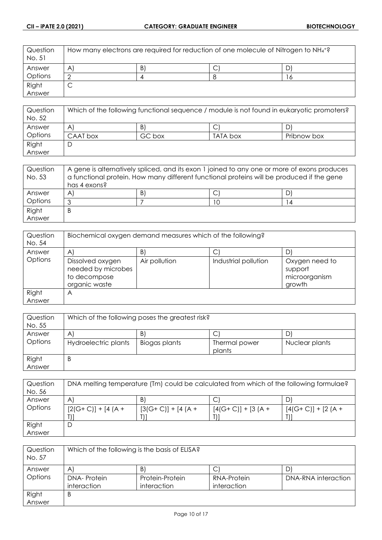| Question<br>No. 51 | How many electrons are required for reduction of one molecule of Nitrogen to $NH_4$ <sup>+2</sup> |   |  |  |
|--------------------|---------------------------------------------------------------------------------------------------|---|--|--|
| Answer             | A                                                                                                 | B |  |  |
| <b>Options</b>     |                                                                                                   |   |  |  |
| Right              | ◡                                                                                                 |   |  |  |
| Answer             |                                                                                                   |   |  |  |

| Question<br>No. 52 | Which of the following functional sequence / module is not found in eukaryotic promoters? |        |          |             |
|--------------------|-------------------------------------------------------------------------------------------|--------|----------|-------------|
| Answer             | A                                                                                         | B)     |          |             |
| Options            | CAAT box                                                                                  | GC box | TATA box | Pribnow box |
| Right              | └                                                                                         |        |          |             |
| Answer             |                                                                                           |        |          |             |

| Question<br>No. 53 | A gene is alternatively spliced, and its exon 1 joined to any one or more of exons produces<br>a functional protein. How many different functional proteins will be produced if the gene |    |  |   |
|--------------------|------------------------------------------------------------------------------------------------------------------------------------------------------------------------------------------|----|--|---|
|                    | has 4 exons?                                                                                                                                                                             |    |  |   |
| Answer             | $\mathsf{A}^{\mathsf{r}}$                                                                                                                                                                | B. |  |   |
| Options            | っ                                                                                                                                                                                        |    |  | 4 |
| Right              | B                                                                                                                                                                                        |    |  |   |
| Answer             |                                                                                                                                                                                          |    |  |   |

| Question<br>No. 54 | Biochemical oxygen demand measures which of the following?              |                 |                      |                                                      |
|--------------------|-------------------------------------------------------------------------|-----------------|----------------------|------------------------------------------------------|
| Answer             | A                                                                       | $\vert B \vert$ | С                    | D                                                    |
| Options            | Dissolved oxygen<br>needed by microbes<br>to decompose<br>organic waste | Air pollution   | Industrial pollution | Oxygen need to<br>support<br>microorganism<br>growth |
| Right<br>Answer    | Α                                                                       |                 |                      |                                                      |

| Question<br>No. 55 | Which of the following poses the greatest risk? |                 |                         |                |
|--------------------|-------------------------------------------------|-----------------|-------------------------|----------------|
| Answer             | A'                                              | $\vert B \vert$ | ◡                       |                |
| Options            | Hydroelectric plants                            | Biogas plants   | Thermal power<br>plants | Nuclear plants |
| Right              | Β                                               |                 |                         |                |
| Answer             |                                                 |                 |                         |                |

| Question<br>No. 56 | DNA melting temperature (Tm) could be calculated from which of the following formulae? |                     |                     |                     |
|--------------------|----------------------------------------------------------------------------------------|---------------------|---------------------|---------------------|
|                    |                                                                                        |                     |                     |                     |
| Answer             | A                                                                                      | B)                  |                     | D                   |
| Options            | $[2(G+C)] + [4(A +$                                                                    | $[3(G+C)] + [4(A +$ | $[4(G+C)] + [3(A +$ | $[4(G+C)] + [2(A +$ |
|                    |                                                                                        |                     |                     |                     |
| Right              | D                                                                                      |                     |                     |                     |
| Answer             |                                                                                        |                     |                     |                     |

| Question<br>No. 57 | Which of the following is the basis of ELISA? |                 |             |                     |
|--------------------|-----------------------------------------------|-----------------|-------------|---------------------|
| Answer             | $\mathsf{A}$                                  | B               |             |                     |
| Options            | <b>DNA-Protein</b>                            | Protein-Protein | RNA-Protein | DNA-RNA interaction |
|                    | interaction                                   | interaction     | interaction |                     |
| Right              | B                                             |                 |             |                     |
| Answer             |                                               |                 |             |                     |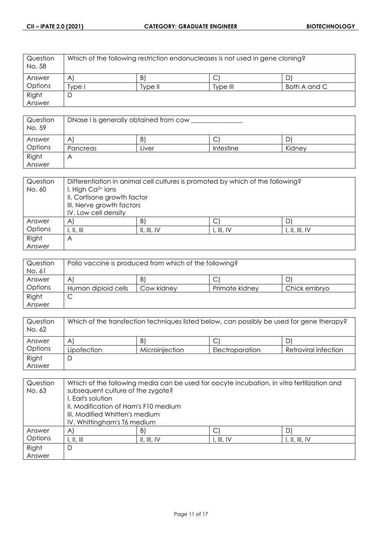| Question<br>No. 58 | Which of the following restriction endonucleases is not used in gene cloning? |         |          |              |
|--------------------|-------------------------------------------------------------------------------|---------|----------|--------------|
| Answer             | $\mathsf{A}$                                                                  | B       | U        |              |
| Options            | 'vpe l                                                                        | Tvpe II | Type III | Both A and C |
| Right              |                                                                               |         |          |              |
| Answer             |                                                                               |         |          |              |

| Question<br>No. 59 | DNase I is generally obtained from cow |       |           |        |
|--------------------|----------------------------------------|-------|-----------|--------|
| Answer             | Α                                      | B     | ⌒<br>◡    | D'     |
| Options            | Pancreas                               | ∟iver | Intestine | Kidney |
| Right              | Α                                      |       |           |        |
| Answer             |                                        |       |           |        |

| Question | Differentiation in animal cell cultures is promoted by which of the following? |             |            |                |
|----------|--------------------------------------------------------------------------------|-------------|------------|----------------|
| No. 60   | I. High $Ca2+ ions$                                                            |             |            |                |
|          | II. Cortisone growth factor                                                    |             |            |                |
|          | III. Nerve growth factors                                                      |             |            |                |
|          | IV. Low cell density                                                           |             |            |                |
| Answer   | $\mathsf{A}$                                                                   | B)          |            |                |
| Options  | , $\parallel$ , $\parallel$                                                    | II, III, IV | I, III, IV | I, II, III, IV |
| Right    | Α                                                                              |             |            |                |
| Answer   |                                                                                |             |            |                |

| Question<br>No. 61 | Polio vaccine is produced from which of the following? |            |                |              |
|--------------------|--------------------------------------------------------|------------|----------------|--------------|
| Answer             | A                                                      | B          | ◡              | D            |
| Options            | Human diploid cells                                    | Cow kidney | Primate kidney | Chick embryo |
| Right              | ◡                                                      |            |                |              |
| Answer             |                                                        |            |                |              |

| Question<br>No. 62 | Which of the transfection techniques listed below, can possibly be used for gene therapy? |                |                 |                      |
|--------------------|-------------------------------------------------------------------------------------------|----------------|-----------------|----------------------|
| Answer             | A                                                                                         | B              |                 | וט                   |
| Options            | Lipofection                                                                               | Microinjection | Electroporation | Retroviral infection |
| Right              | ◡                                                                                         |                |                 |                      |
| Answer             |                                                                                           |                |                 |                      |

| Question | Which of the following media can be used for oocyte incubation, in vitro fertilization and |             |            |                |
|----------|--------------------------------------------------------------------------------------------|-------------|------------|----------------|
| No. 63   | subsequent culture of the zygote?                                                          |             |            |                |
|          | I. Earl's solution                                                                         |             |            |                |
|          | II. Modification of Ham's F10 medium                                                       |             |            |                |
|          | III. Modified Whitten's medium                                                             |             |            |                |
|          | IV. Whittingham's T6 medium                                                                |             |            |                |
| Answer   | A                                                                                          | B)          | С          | Dì             |
| Options  | I, II, III                                                                                 | II, III, IV | I, III, IV | I, II, III, IV |
| Right    | D                                                                                          |             |            |                |
| Answer   |                                                                                            |             |            |                |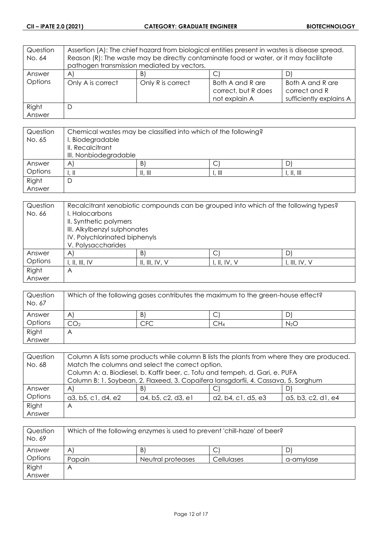| Question | Assertion (A): The chief hazard from biological entities present in wastes is disease spread. |                                            |                                                          |                                                              |
|----------|-----------------------------------------------------------------------------------------------|--------------------------------------------|----------------------------------------------------------|--------------------------------------------------------------|
| No. 64   | Reason (R): The waste may be directly contaminate food or water, or it may facilitate         |                                            |                                                          |                                                              |
|          |                                                                                               | pathogen transmission mediated by vectors. |                                                          |                                                              |
| Answer   | $\forall$                                                                                     | B                                          |                                                          | D)                                                           |
| Options  | Only A is correct                                                                             | Only R is correct                          | Both A and R are<br>correct, but R does<br>not explain A | Both A and R are<br>correct and R<br>sufficiently explains A |
| Right    | D                                                                                             |                                            |                                                          |                                                              |
| Answer   |                                                                                               |                                            |                                                          |                                                              |

| Question<br>No. 65 | Chemical wastes may be classified into which of the following?<br>I. Biodegradable<br>II. Recalcitrant<br>III. Nonbiodegradable |                 |                           |                                         |
|--------------------|---------------------------------------------------------------------------------------------------------------------------------|-----------------|---------------------------|-----------------------------------------|
| Answer             | A                                                                                                                               | $\vert B \vert$ | ◡                         | D                                       |
| Options            | l. II                                                                                                                           | II, III         | $\parallel$ , $\parallel$ | $\parallel$ , $\parallel$ , $\parallel$ |
| Right              | D                                                                                                                               |                 |                           |                                         |
| Answer             |                                                                                                                                 |                 |                           |                                         |

| Question | Recalcitrant xenobiotic compounds can be grouped into which of the following types? |                |              |               |
|----------|-------------------------------------------------------------------------------------|----------------|--------------|---------------|
| No. 66   | I. Halocarbons                                                                      |                |              |               |
|          | II. Synthetic polymers                                                              |                |              |               |
|          | III. Alkylbenzyl sulphonates                                                        |                |              |               |
|          | IV. Polychlorinated biphenyls                                                       |                |              |               |
|          | V. Polysaccharides                                                                  |                |              |               |
| Answer   | A                                                                                   | B)             |              | D             |
| Options  | I, II, III, IV                                                                      | II, III, IV, V | I, II, IV, V | I, III, IV, V |
| Right    | Α                                                                                   |                |              |               |
| Answer   |                                                                                     |                |              |               |

| Question<br>No. 67 | Which of the following gases contributes the maximum to the green-house effect? |     |                 |                  |
|--------------------|---------------------------------------------------------------------------------|-----|-----------------|------------------|
| Answer             | A                                                                               | B.  | ◡               |                  |
| Options            | しし2                                                                             | CFC | CH <sub>4</sub> | N <sub>2</sub> O |
| Right              | Α                                                                               |     |                 |                  |
| Answer             |                                                                                 |     |                 |                  |

| Question | Column A lists some products while column B lists the plants from where they are produced. |                    |                    |                    |
|----------|--------------------------------------------------------------------------------------------|--------------------|--------------------|--------------------|
| No. 68   | Match the columns and select the correct option.                                           |                    |                    |                    |
|          | Column A: a. Biodiesel, b. Kaffir beer, c. Tofu and tempeh, d. Gari, e. PUFA               |                    |                    |                    |
|          | Column B: 1. Soybean, 2. Flaxeed, 3. Copaifera lansgdorfii, 4. Cassava, 5. Sorghum         |                    |                    |                    |
| Answer   | $\mathsf{A}^{\mathsf{c}}$                                                                  | B)                 |                    |                    |
| Options  | a3, b5, c1, d4, e2                                                                         | a4, b5, c2, d3, e1 | a2, b4, c1, d5, e3 | a5, b3, c2, d1, e4 |
| Right    | Α                                                                                          |                    |                    |                    |
| Answer   |                                                                                            |                    |                    |                    |

| Question<br>No. 69 | Which of the following enzymes is used to prevent 'chill-haze' of beer? |                   |            |           |
|--------------------|-------------------------------------------------------------------------|-------------------|------------|-----------|
| Answer             | A                                                                       | B                 | С          |           |
| Options            | Papain                                                                  | Neutral proteases | Cellulases | a-amylase |
| Right              |                                                                         |                   |            |           |
| Answer             |                                                                         |                   |            |           |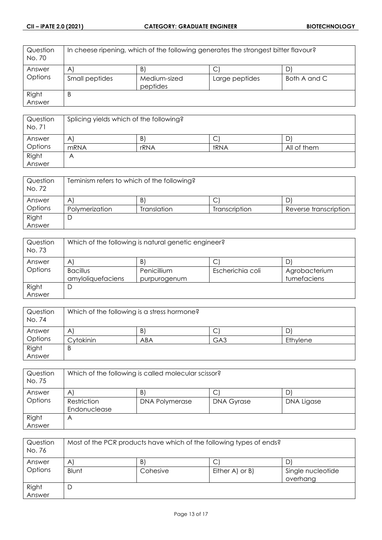| Question<br>No. 70 | In cheese ripening, which of the following generates the strongest bitter flavour? |                          |                |              |
|--------------------|------------------------------------------------------------------------------------|--------------------------|----------------|--------------|
| Answer             | $\mathsf{A}$                                                                       | B)                       | U              | D            |
| Options            | Small peptides                                                                     | Medium-sized<br>peptides | Large peptides | Both A and C |
| Right              | B                                                                                  |                          |                |              |
| Answer             |                                                                                    |                          |                |              |

| Question<br>No. 71 | Splicing yields which of the following? |      |      |             |
|--------------------|-----------------------------------------|------|------|-------------|
| Answer             | A                                       | B.   | ◡    |             |
| Options            | mRNA                                    | rRNA | tRNA | All of them |
| Right              | Α                                       |      |      |             |
| Answer             |                                         |      |      |             |

| Question<br>No. 72 | Teminism refers to which of the following? |             |               |                       |
|--------------------|--------------------------------------------|-------------|---------------|-----------------------|
| Answer             | A                                          | B)          |               |                       |
| Options            | Polymerization                             | Translation | Transcription | Reverse transcription |
| Right              |                                            |             |               |                       |
| Answer             |                                            |             |               |                       |

| Question<br>No. 73 | Which of the following is natural genetic engineer? |                             |                  |                              |
|--------------------|-----------------------------------------------------|-----------------------------|------------------|------------------------------|
| Answer             | A                                                   | B)                          | С                |                              |
| Options            | <b>Bacillus</b><br>amyloliquefaciens                | Penicillium<br>purpurogenum | Escherichia coli | Agrobacterium<br>tumefaciens |
| Right<br>Answer    | D                                                   |                             |                  |                              |

| Question<br>No. 74 | Which of the following is a stress hormone? |     |                 |          |
|--------------------|---------------------------------------------|-----|-----------------|----------|
| Answer             | A                                           | B.  | C               | D        |
| Options            | Cytokinin                                   | ABA | GA <sub>3</sub> | Ethylene |
| Right              | B                                           |     |                 |          |
| Answer             |                                             |     |                 |          |

| Question<br>No. 75 | Which of the following is called molecular scissor? |                       |                   |            |
|--------------------|-----------------------------------------------------|-----------------------|-------------------|------------|
| Answer             | A                                                   | B)                    |                   |            |
| Options            | Restriction                                         | <b>DNA Polymerase</b> | <b>DNA Gyrase</b> | DNA Ligase |
|                    | Endonuclease                                        |                       |                   |            |
| Right              | A                                                   |                       |                   |            |
| Answer             |                                                     |                       |                   |            |

| Question<br>No. 76 | Most of the PCR products have which of the following types of ends? |          |                 |                               |
|--------------------|---------------------------------------------------------------------|----------|-----------------|-------------------------------|
| Answer             | $\mathsf{A}$                                                        | B.       | C               |                               |
| Options            | Blunt                                                               | Cohesive | Either A) or B) | Single nucleotide<br>overhang |
| Right              | D                                                                   |          |                 |                               |
| Answer             |                                                                     |          |                 |                               |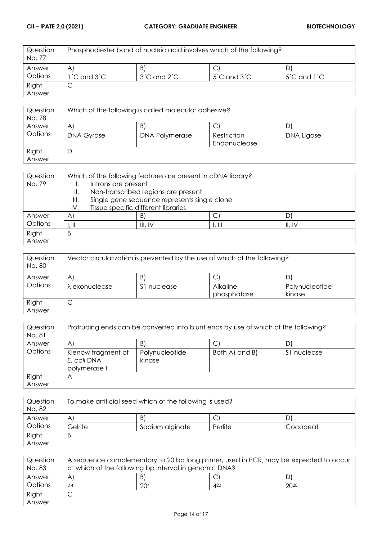| Question<br>No. 77 | Phosphodiester bond of nucleic acid involves which of the following? |                                   |                                   |                                   |
|--------------------|----------------------------------------------------------------------|-----------------------------------|-----------------------------------|-----------------------------------|
| Answer             | A                                                                    | B                                 |                                   |                                   |
| Options            | $1^{\prime}$ C and $3^{\prime}$ C                                    | $3^{\prime}$ C and $2^{\prime}$ C | $5^{\prime}$ C and $3^{\prime}$ C | $5^{\prime}$ C and $1^{\prime}$ C |
| Right              | ◡                                                                    |                                   |                                   |                                   |
| Answer             |                                                                      |                                   |                                   |                                   |

| Question<br>No. 78 | Which of the following is called molecular adhesive? |                       |              |            |  |
|--------------------|------------------------------------------------------|-----------------------|--------------|------------|--|
| Answer             | $\mathsf{A}$                                         | B)                    |              |            |  |
| Options            | <b>DNA Gyrase</b>                                    | <b>DNA Polymerase</b> | Restriction  | DNA Ligase |  |
|                    |                                                      |                       | Endonuclease |            |  |
| Right              | D                                                    |                       |              |            |  |
| Answer             |                                                      |                       |              |            |  |

| Question<br>No. 79 | Which of the following features are present in cDNA library?<br>Introns are present |                                              |         |                           |        |
|--------------------|-------------------------------------------------------------------------------------|----------------------------------------------|---------|---------------------------|--------|
|                    | Ш.                                                                                  | Non-transcribed regions are present          |         |                           |        |
|                    | III.                                                                                | Single gene sequence represents single clone |         |                           |        |
|                    | IV.                                                                                 | Tissue specific different libraries          |         |                           |        |
| Answer             | A                                                                                   |                                              | B)      |                           |        |
| Options            | l. II                                                                               |                                              | III. IV | $\parallel$ , $\parallel$ | II, IV |
| Right              | Β                                                                                   |                                              |         |                           |        |
| Answer             |                                                                                     |                                              |         |                           |        |

| Question<br>No. 80 | Vector circularization is prevented by the use of which of the following? |             |                 |                |
|--------------------|---------------------------------------------------------------------------|-------------|-----------------|----------------|
| Answer             | A                                                                         | B)          | ◡               | D              |
| Options            | λ exonuclease                                                             | S1 nuclease | <b>Alkaline</b> | Polynucleotide |
|                    |                                                                           |             | phosphatase     | kinase         |
| Right              |                                                                           |             |                 |                |
| Answer             |                                                                           |             |                 |                |

| Question | Protruding ends can be converted into blunt ends by use of which of the following? |                |                |             |
|----------|------------------------------------------------------------------------------------|----------------|----------------|-------------|
| No. 81   |                                                                                    |                |                |             |
| Answer   | A                                                                                  | B.             |                | D           |
| Options  | Klenow fragment of                                                                 | Polynucleotide | Both A) and B) | S1 nuclease |
|          | E. coli DNA                                                                        | kinase         |                |             |
|          | polymerase I                                                                       |                |                |             |
| Right    | Α                                                                                  |                |                |             |
| Answer   |                                                                                    |                |                |             |

| Question<br>No. 82 | To make artificial seed which of the following is used? |                 |         |          |
|--------------------|---------------------------------------------------------|-----------------|---------|----------|
| Answer             | A                                                       | B)              | C       |          |
| Options            | Gelrite                                                 | Sodium alginate | Perlite | Cocopeat |
| Right              | B                                                       |                 |         |          |
| Answer             |                                                         |                 |         |          |

| Question<br>No. 83 | A sequence complementary to 20 bp long primer, used in PCR, may be expected to occur<br>at which of the following bp interval in genomic DNA? |                 |     |           |
|--------------------|-----------------------------------------------------------------------------------------------------------------------------------------------|-----------------|-----|-----------|
| Answer             | B<br>A<br>. D<br>◡                                                                                                                            |                 |     |           |
| Options            | $\mathbf{A}^4$                                                                                                                                | 20 <sup>4</sup> | 420 | $20^{20}$ |
| Right              | ◡                                                                                                                                             |                 |     |           |
| Answer             |                                                                                                                                               |                 |     |           |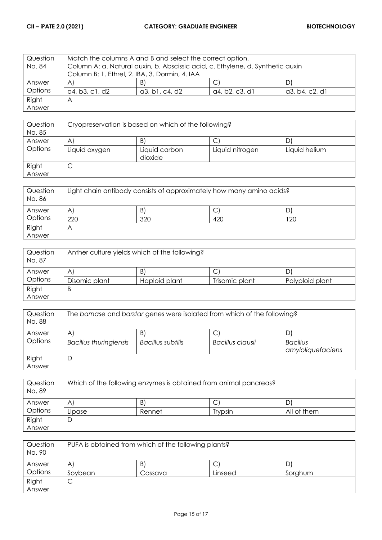| Question | Match the columns A and B and select the correct option.                       |                |                |                |  |
|----------|--------------------------------------------------------------------------------|----------------|----------------|----------------|--|
| No. 84   | Column A: a. Natural auxin, b. Abscissic acid, c. Ethylene, d. Synthetic auxin |                |                |                |  |
|          | Column B: 1. Ethrel, 2. IBA, 3. Dormin, 4. IAA                                 |                |                |                |  |
| Answer   | $\mathsf{A}$                                                                   | B)             |                |                |  |
| Options  | a4, b3, c1, d2                                                                 | a3, b1, c4, d2 | a4, b2, c3, d1 | a3, b4, c2, d1 |  |
| Right    | Α                                                                              |                |                |                |  |
| Answer   |                                                                                |                |                |                |  |

| Question<br>No. 85 | Cryopreservation is based on which of the following? |                          |                 |               |
|--------------------|------------------------------------------------------|--------------------------|-----------------|---------------|
| Answer             | A                                                    | B.                       | ◡               |               |
| Options            | Liquid oxygen                                        | Liquid carbon<br>dioxide | Liquid nitrogen | Liquid helium |
| Right<br>Answer    | ◡                                                    |                          |                 |               |

| Question<br>No. 86 | Light chain antibody consists of approximately how many amino acids? |     |     |     |
|--------------------|----------------------------------------------------------------------|-----|-----|-----|
| Answer             | A                                                                    | B   |     |     |
| Options            | 220                                                                  | 320 | 420 | 120 |
| Right<br>Answer    | Α                                                                    |     |     |     |

| Question<br>No. 87 | Anther culture yields which of the following? |               |                |                 |
|--------------------|-----------------------------------------------|---------------|----------------|-----------------|
| Answer             | $\mathsf{A}$                                  | B             | ◡              | D               |
| Options            | Disomic plant                                 | Haploid plant | Trisomic plant | Polyploid plant |
| Right              | B                                             |               |                |                 |
| Answer             |                                               |               |                |                 |

| Question<br>No. 88 | The barnase and barstar genes were isolated from which of the following? |                         |                       |                                      |
|--------------------|--------------------------------------------------------------------------|-------------------------|-----------------------|--------------------------------------|
| Answer<br>Options  | A<br><b>Bacillus thuringiensis</b>                                       | B)<br>Bacillus subtilis | C<br>Bacillus clausii | <b>Bacillus</b><br>amyloliquefaciens |
| Right<br>Answer    | D                                                                        |                         |                       |                                      |

| Question<br>No. 89 | Which of the following enzymes is obtained from animal pancreas? |        |                |             |
|--------------------|------------------------------------------------------------------|--------|----------------|-------------|
| Answer             | A                                                                | B      |                |             |
| Options            | Lipase                                                           | Rennet | <b>Trypsin</b> | All of them |
| Right              | ◡                                                                |        |                |             |
| Answer             |                                                                  |        |                |             |

| Question<br>No. 90 | PUFA is obtained from which of the following plants? |         |         |         |
|--------------------|------------------------------------------------------|---------|---------|---------|
| Answer             | Α                                                    | B)      | ◡       | D       |
| Options            | Sovbean                                              | Cassava | Linseed | Sorghum |
| Right              |                                                      |         |         |         |
| Answer             |                                                      |         |         |         |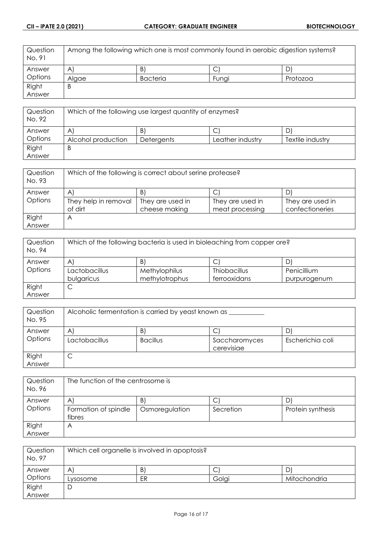| Question<br>No. 91 | Among the following which one is most commonly found in aerobic digestion systems? |                 |       |          |
|--------------------|------------------------------------------------------------------------------------|-----------------|-------|----------|
| Answer             | $\mathsf{A}$                                                                       | B'              | ٮ     |          |
| Options            | Alaae                                                                              | <b>Bacteria</b> | Funai | Protozoa |
| Right              | B                                                                                  |                 |       |          |
| Answer             |                                                                                    |                 |       |          |

| Question<br>No. 92 | Which of the following use largest quantity of enzymes? |                   |                  |                  |
|--------------------|---------------------------------------------------------|-------------------|------------------|------------------|
| Answer             | A                                                       | B)                | ◡                | ' ل              |
| Options            | Alcohol production                                      | <b>Detergents</b> | Leather industry | Textile industry |
| Right              | Β                                                       |                   |                  |                  |
| Answer             |                                                         |                   |                  |                  |

| Question<br>No. 93 | Which of the following is correct about serine protease? |                  |                  |                  |
|--------------------|----------------------------------------------------------|------------------|------------------|------------------|
| Answer             | A                                                        | B)               | ◡                |                  |
| Options            | They help in removal                                     | They are used in | They are used in | They are used in |
|                    | of dirt                                                  | cheese making    | meat processing  | confectioneries  |
| Right              | A                                                        |                  |                  |                  |
| Answer             |                                                          |                  |                  |                  |

| Question<br>No. 94 | Which of the following bacteria is used in bioleaching from copper ore? |                      |                     |              |
|--------------------|-------------------------------------------------------------------------|----------------------|---------------------|--------------|
| Answer             | A                                                                       | $\vert B \vert$      | C                   |              |
| Options            | Lactobacillus                                                           | <b>Methylophilus</b> | <b>Thiobacillus</b> | Penicillium  |
|                    | bulgaricus                                                              | methylotrophus       | ferrooxidans        | purpurogenum |
| Right              | ◡                                                                       |                      |                     |              |
| Answer             |                                                                         |                      |                     |              |

| Question<br>No. 95 | Alcoholic fermentation is carried by yeast known as |                      |                                  |                  |
|--------------------|-----------------------------------------------------|----------------------|----------------------------------|------------------|
| Answer<br>Options  | A<br>Lactobacillus                                  | B<br><b>Bacillus</b> | ◡<br>Saccharomyces<br>cerevisiae | Escherichia coli |
| Right<br>Answer    | ◡                                                   |                      |                                  |                  |

| Question<br>No. 96 | The function of the centrosome is    |                      |                |                   |  |
|--------------------|--------------------------------------|----------------------|----------------|-------------------|--|
| Answer<br>Options  | A'<br>Formation of spindle<br>fibres | B)<br>Osmoregulation | С<br>Secretion | Protein synthesis |  |
| Right<br>Answer    | Α                                    |                      |                |                   |  |

| Question<br>No. 97 | Which cell organelle is involved in apoptosis? |              |        |              |
|--------------------|------------------------------------------------|--------------|--------|--------------|
| Answer             | A                                              | $\mathsf{B}$ | ⌒<br>◡ | D            |
| Options            | Lysosome                                       | ER           | Golgi  | Mitochondria |
| Right              | D                                              |              |        |              |
| Answer             |                                                |              |        |              |